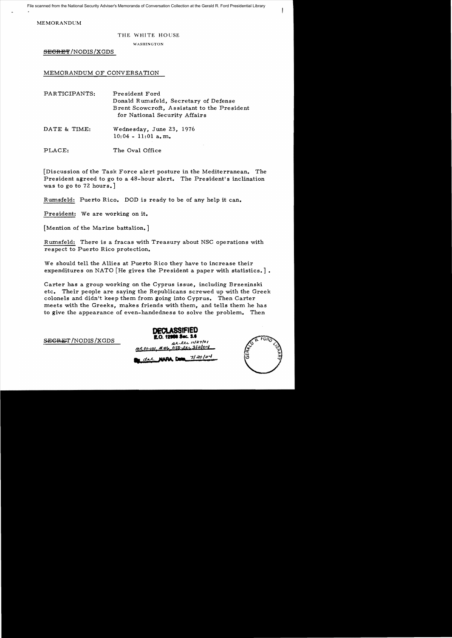MEMORANDUM

## THE WHITE HOUSE

WASHINGTON

SECRET/NODIS/XGDS

MEMORANDUM OF CONVERSATION

| PARTICIPANTS: | President Ford<br>Donald Rumsfeld, Secretary of Defense<br>Brent Scowcroft, Assistant to the President<br>for National Security Affairs |
|---------------|-----------------------------------------------------------------------------------------------------------------------------------------|
| DATE & TIME:  | Wednesday, June 23, 1976<br>$10:04 - 11:01$ a, m.                                                                                       |

PLACE: The Oval Office

[Discussion of the Task Force alert posture in the Mediterranean. The President agreed to go to a 48-hour alert. The President's inclination was to go to 72 hours.]

Rumsfeld: Puerto Rico. DOD is ready to be of any help it can.

President: We are working on it.

[Mention of the Marine battalion.]

Rumsfeld: There is a fracas with Treasury about NSC operations with respect to Puerto Rico protection.

We should tell the Allies at Puerto Rico they have to increase their expenditures on NATO [He gives the President a paper with statistics.].

Carter has a group working on the Cyprus issue, including Brzezinski etc. Their people are saying the Republicans screwed up with the Greek colonels and didn't keep them from going into Cyprus. Then Carter meets with the Greeks, makes friends with them, and tells them he has to give the appearance of even-handedness to solve the problem. Then

**DeCLASSIFIED 1.0. EXECRET** /NODIS /XGDS A. Ltd. 1127/01 az~ 1>1-101, *.111",* CSD *fM&3/.:I.l9!f*  **...dAA MIN.. "\_....7'**«;'':'.~

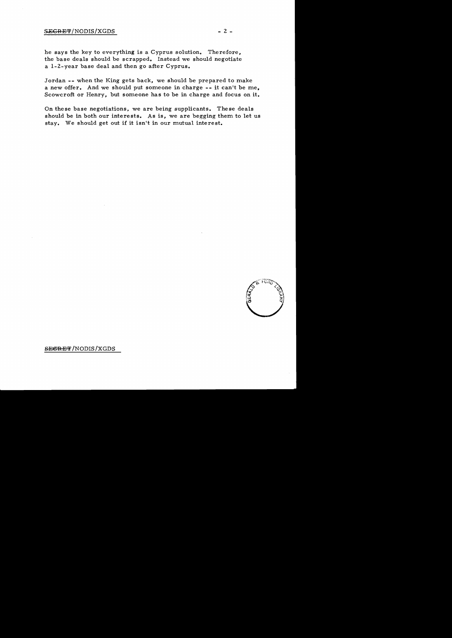## $S \to C R E + T/N O D I S / X G D S$  - 2 -

he says the key to everything is a Cyprus solution. Therefore, the base deals should be scrapped. Instead we should negotiate a 1-2-year base deal and then go after Cyprus.

Jordan -- when the King gets back, we should be prepared to make a new offer. And we should put someone in charge -- it can't be me, Scowcroft or Henry, but someone has to be in charge and focus on it.

On these base negotiations, we are being supplicants. These deals should be in both our interests. As is, we are begging them to let us stay. We should get out if it isn't in our mutual interest.



**SEGRET/NODIS/XGDS**